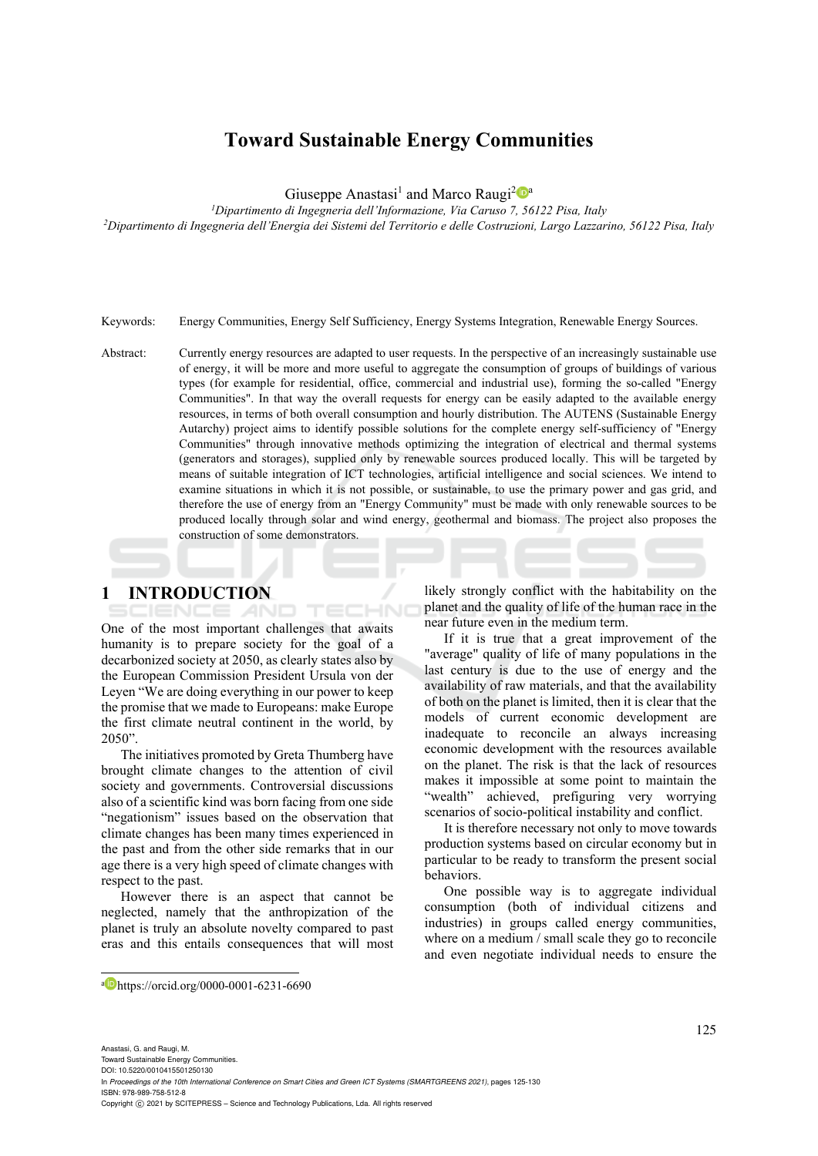# **Toward Sustainable Energy Communities**

Giuseppe Anastasi<sup>1</sup> and Marco Raugi<sup>2</sup><sup>0</sup><sup>a</sup>

*1Dipartimento di Ingegneria dell'Informazione, Via Caruso 7, 56122 Pisa, Italy 2Dipartimento di Ingegneria dell'Energia dei Sistemi del Territorio e delle Costruzioni, Largo Lazzarino, 56122 Pisa, Italy* 

Keywords: Energy Communities, Energy Self Sufficiency, Energy Systems Integration, Renewable Energy Sources.

Abstract: Currently energy resources are adapted to user requests. In the perspective of an increasingly sustainable use of energy, it will be more and more useful to aggregate the consumption of groups of buildings of various types (for example for residential, office, commercial and industrial use), forming the so-called "Energy Communities". In that way the overall requests for energy can be easily adapted to the available energy resources, in terms of both overall consumption and hourly distribution. The AUTENS (Sustainable Energy Autarchy) project aims to identify possible solutions for the complete energy self-sufficiency of "Energy Communities" through innovative methods optimizing the integration of electrical and thermal systems (generators and storages), supplied only by renewable sources produced locally. This will be targeted by means of suitable integration of ICT technologies, artificial intelligence and social sciences. We intend to examine situations in which it is not possible, or sustainable, to use the primary power and gas grid, and therefore the use of energy from an "Energy Community" must be made with only renewable sources to be produced locally through solar and wind energy, geothermal and biomass. The project also proposes the construction of some demonstrators.

ECHNO

## **1 INTRODUCTION**

One of the most important challenges that awaits humanity is to prepare society for the goal of a decarbonized society at 2050, as clearly states also by the European Commission President Ursula von der Leyen "We are doing everything in our power to keep the promise that we made to Europeans: make Europe the first climate neutral continent in the world, by 2050".

The initiatives promoted by Greta Thumberg have brought climate changes to the attention of civil society and governments. Controversial discussions also of a scientific kind was born facing from one side "negationism" issues based on the observation that climate changes has been many times experienced in the past and from the other side remarks that in our age there is a very high speed of climate changes with respect to the past.

However there is an aspect that cannot be neglected, namely that the anthropization of the planet is truly an absolute novelty compared to past eras and this entails consequences that will most likely strongly conflict with the habitability on the planet and the quality of life of the human race in the near future even in the medium term.

If it is true that a great improvement of the "average" quality of life of many populations in the last century is due to the use of energy and the availability of raw materials, and that the availability of both on the planet is limited, then it is clear that the models of current economic development are inadequate to reconcile an always increasing economic development with the resources available on the planet. The risk is that the lack of resources makes it impossible at some point to maintain the "wealth" achieved, prefiguring very worrying scenarios of socio-political instability and conflict.

It is therefore necessary not only to move towards production systems based on circular economy but in particular to be ready to transform the present social behaviors.

One possible way is to aggregate individual consumption (both of individual citizens and industries) in groups called energy communities, where on a medium / small scale they go to reconcile and even negotiate individual needs to ensure the

a https://orcid.org/0000-0001-6231-6690

Toward Sustainable Energy Communities. DOI: 10.5220/0010415501250130

In *Proceedings of the 10th International Conference on Smart Cities and Green ICT Systems (SMARTGREENS 2021)*, pages 125-130 ISBN: 978-989-758-512-8

Copyright (C) 2021 by SCITEPRESS - Science and Technology Publications, Lda. All rights reserved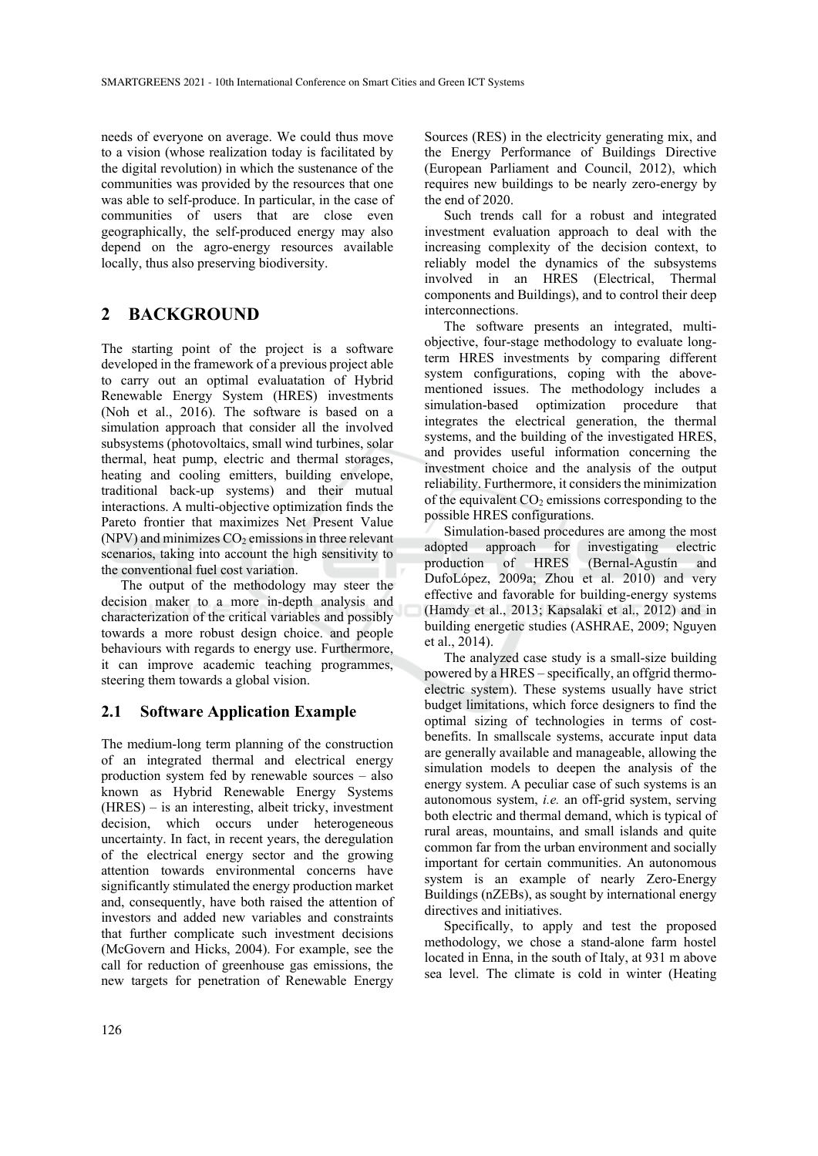needs of everyone on average. We could thus move to a vision (whose realization today is facilitated by the digital revolution) in which the sustenance of the communities was provided by the resources that one was able to self-produce. In particular, in the case of communities of users that are close even geographically, the self-produced energy may also depend on the agro-energy resources available locally, thus also preserving biodiversity.

# **2 BACKGROUND**

The starting point of the project is a software developed in the framework of a previous project able to carry out an optimal evaluatation of Hybrid Renewable Energy System (HRES) investments (Noh et al., 2016). The software is based on a simulation approach that consider all the involved subsystems (photovoltaics, small wind turbines, solar thermal, heat pump, electric and thermal storages, heating and cooling emitters, building envelope, traditional back-up systems) and their mutual interactions. A multi-objective optimization finds the Pareto frontier that maximizes Net Present Value  $(NPV)$  and minimizes  $CO<sub>2</sub>$  emissions in three relevant scenarios, taking into account the high sensitivity to the conventional fuel cost variation.

The output of the methodology may steer the decision maker to a more in-depth analysis and characterization of the critical variables and possibly towards a more robust design choice. and people behaviours with regards to energy use. Furthermore, it can improve academic teaching programmes, steering them towards a global vision.

## **2.1 Software Application Example**

The medium-long term planning of the construction of an integrated thermal and electrical energy production system fed by renewable sources – also known as Hybrid Renewable Energy Systems (HRES) – is an interesting, albeit tricky, investment decision, which occurs under heterogeneous uncertainty. In fact, in recent years, the deregulation of the electrical energy sector and the growing attention towards environmental concerns have significantly stimulated the energy production market and, consequently, have both raised the attention of investors and added new variables and constraints that further complicate such investment decisions (McGovern and Hicks, 2004). For example, see the call for reduction of greenhouse gas emissions, the new targets for penetration of Renewable Energy

Sources (RES) in the electricity generating mix, and the Energy Performance of Buildings Directive (European Parliament and Council, 2012), which requires new buildings to be nearly zero-energy by the end of 2020.

Such trends call for a robust and integrated investment evaluation approach to deal with the increasing complexity of the decision context, to reliably model the dynamics of the subsystems involved in an HRES (Electrical, Thermal components and Buildings), and to control their deep interconnections.

The software presents an integrated, multiobjective, four-stage methodology to evaluate longterm HRES investments by comparing different system configurations, coping with the abovementioned issues. The methodology includes a simulation-based optimization procedure that integrates the electrical generation, the thermal systems, and the building of the investigated HRES, and provides useful information concerning the investment choice and the analysis of the output reliability. Furthermore, it considers the minimization of the equivalent  $CO<sub>2</sub>$  emissions corresponding to the possible HRES configurations.

Simulation-based procedures are among the most<br>pted approach for investigating electric adopted approach for investigating electric production of HRES (Bernal-Agustín and DufoLópez, 2009a; Zhou et al. 2010) and very effective and favorable for building-energy systems (Hamdy et al., 2013; Kapsalaki et al., 2012) and in building energetic studies (ASHRAE, 2009; Nguyen et al., 2014).

The analyzed case study is a small-size building powered by a HRES – specifically, an offgrid thermoelectric system). These systems usually have strict budget limitations, which force designers to find the optimal sizing of technologies in terms of costbenefits. In smallscale systems, accurate input data are generally available and manageable, allowing the simulation models to deepen the analysis of the energy system. A peculiar case of such systems is an autonomous system, *i.e.* an off-grid system, serving both electric and thermal demand, which is typical of rural areas, mountains, and small islands and quite common far from the urban environment and socially important for certain communities. An autonomous system is an example of nearly Zero-Energy Buildings (nZEBs), as sought by international energy directives and initiatives.

Specifically, to apply and test the proposed methodology, we chose a stand-alone farm hostel located in Enna, in the south of Italy, at 931 m above sea level. The climate is cold in winter (Heating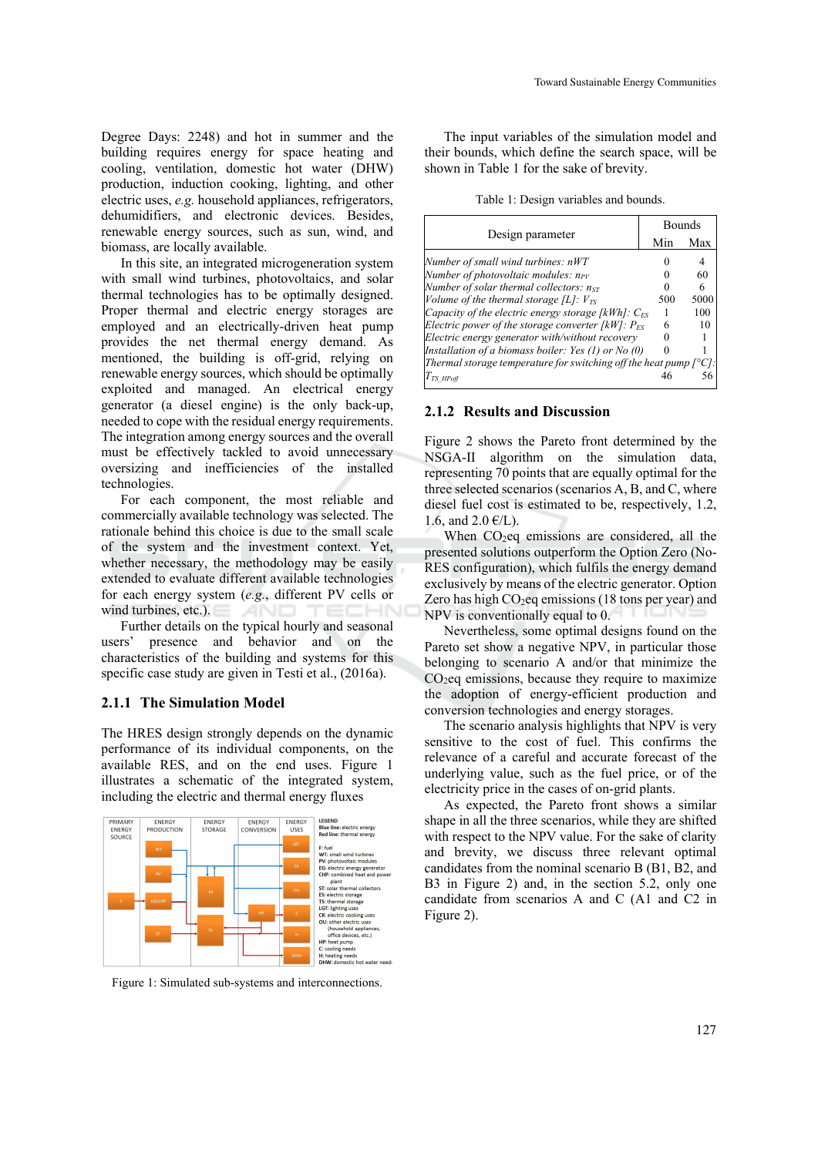Degree Days: 2248) and hot in summer and the building requires energy for space heating and cooling, ventilation, domestic hot water (DHW) production, induction cooking, lighting, and other electric uses, *e.g.* household appliances, refrigerators, dehumidifiers, and electronic devices. Besides, renewable energy sources, such as sun, wind, and biomass, are locally available.

In this site, an integrated microgeneration system with small wind turbines, photovoltaics, and solar thermal technologies has to be optimally designed. Proper thermal and electric energy storages are employed and an electrically-driven heat pump provides the net thermal energy demand. As mentioned, the building is off-grid, relying on renewable energy sources, which should be optimally exploited and managed. An electrical energy generator (a diesel engine) is the only back-up, needed to cope with the residual energy requirements. The integration among energy sources and the overall must be effectively tackled to avoid unnecessary oversizing and inefficiencies of the installed technologies.

For each component, the most reliable and commercially available technology was selected. The rationale behind this choice is due to the small scale of the system and the investment context. Yet, whether necessary, the methodology may be easily extended to evaluate different available technologies for each energy system (*e.g.*, different PV cells or wind turbines, etc.).

Further details on the typical hourly and seasonal users' presence and behavior and on the characteristics of the building and systems for this specific case study are given in Testi et al., (2016a).

#### **2.1.1 The Simulation Model**

The HRES design strongly depends on the dynamic performance of its individual components, on the available RES, and on the end uses. Figure 1 illustrates a schematic of the integrated system, including the electric and thermal energy fluxes



Figure 1: Simulated sub-systems and interconnections.

The input variables of the simulation model and their bounds, which define the search space, will be shown in Table 1 for the sake of brevity.

Table 1: Design variables and bounds.

| Design parameter                                                            | <b>Bounds</b> |      |
|-----------------------------------------------------------------------------|---------------|------|
|                                                                             | Min           | Max  |
| Number of small wind turbines: nWT                                          |               |      |
| Number of photovoltaic modules: $n_{PV}$                                    |               | 60   |
| Number of solar thermal collectors: $n_{ST}$                                |               | 6    |
| Volume of the thermal storage [L]: $V_{TS}$                                 | 500           | 5000 |
| Capacity of the electric energy storage [kWh]: $C_{FS}$                     |               | 100  |
| Electric power of the storage converter [kW]: $P_{FS}$                      | 6             | 10   |
| Electric energy generator with/without recovery                             |               |      |
| Installation of a biomass boiler: Yes (1) or No (0)                         |               |      |
| Thermal storage temperature for switching off the heat pump $[^{\circ}C]$ : |               |      |
| $T_{TS\ H\emph{Poff}}$                                                      |               |      |

#### **2.1.2 Results and Discussion**

Figure 2 shows the Pareto front determined by the NSGA-II algorithm on the simulation data, representing 70 points that are equally optimal for the three selected scenarios (scenarios A, B, and C, where diesel fuel cost is estimated to be, respectively, 1.2, 1.6, and  $2.0 \text{ } \infty$ /L).

When  $CO<sub>2</sub>$ eq emissions are considered, all the presented solutions outperform the Option Zero (No-RES configuration), which fulfils the energy demand exclusively by means of the electric generator. Option Zero has high  $CO<sub>2</sub>$ eq emissions (18 tons per year) and NPV is conventionally equal to 0.

Nevertheless, some optimal designs found on the Pareto set show a negative NPV, in particular those belonging to scenario A and/or that minimize the  $CO<sub>2</sub>$ eq emissions, because they require to maximize the adoption of energy-efficient production and conversion technologies and energy storages.

The scenario analysis highlights that NPV is very sensitive to the cost of fuel. This confirms the relevance of a careful and accurate forecast of the underlying value, such as the fuel price, or of the electricity price in the cases of on-grid plants.

As expected, the Pareto front shows a similar shape in all the three scenarios, while they are shifted with respect to the NPV value. For the sake of clarity and brevity, we discuss three relevant optimal candidates from the nominal scenario B (B1, B2, and B3 in Figure 2) and, in the section 5.2, only one candidate from scenarios A and C (A1 and C2 in Figure 2).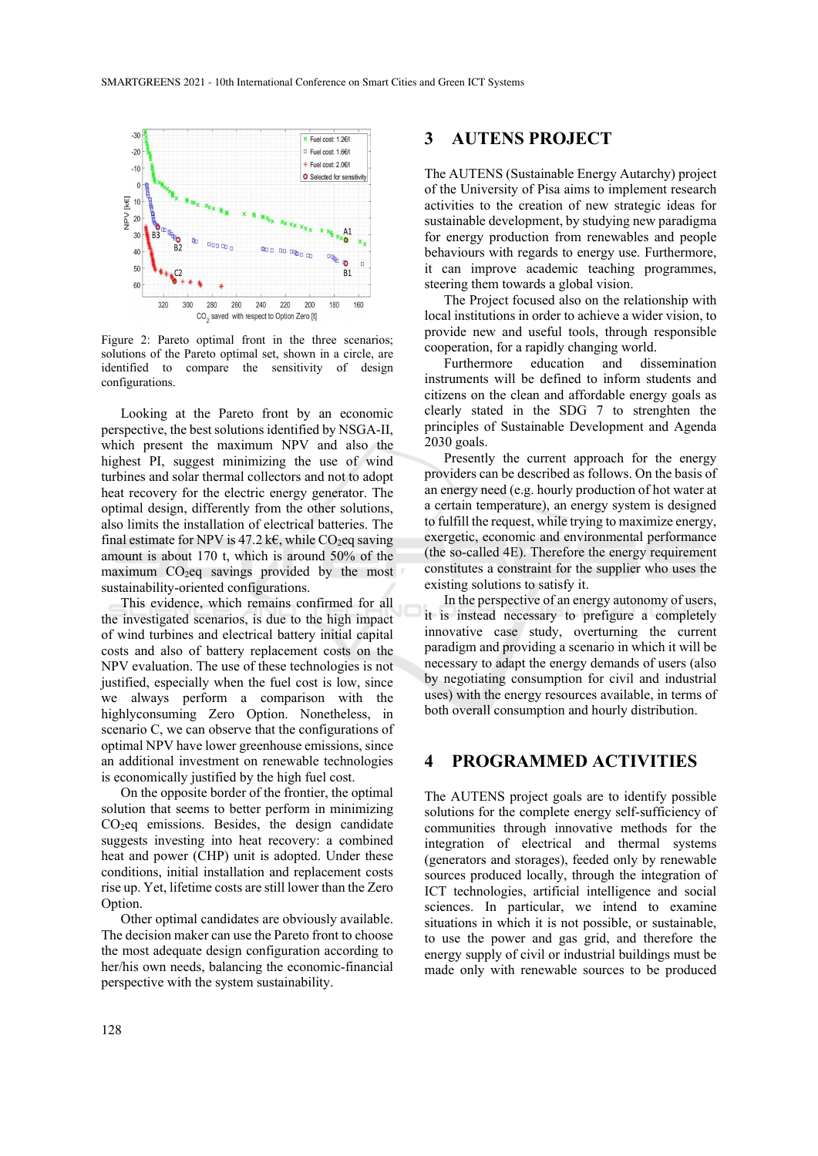

Figure 2: Pareto optimal front in the three scenarios; solutions of the Pareto optimal set, shown in a circle, are identified to compare the sensitivity of design configurations.

Looking at the Pareto front by an economic perspective, the best solutions identified by NSGA-II, which present the maximum NPV and also the highest PI, suggest minimizing the use of wind turbines and solar thermal collectors and not to adopt heat recovery for the electric energy generator. The optimal design, differently from the other solutions, also limits the installation of electrical batteries. The final estimate for NPV is 47.2 k€, while CO<sub>2</sub>eq saving amount is about 170 t, which is around 50% of the maximum  $CO<sub>2</sub>$ eq savings provided by the most sustainability-oriented configurations.

This evidence, which remains confirmed for all the investigated scenarios, is due to the high impact of wind turbines and electrical battery initial capital costs and also of battery replacement costs on the NPV evaluation. The use of these technologies is not justified, especially when the fuel cost is low, since we always perform a comparison with the highlyconsuming Zero Option. Nonetheless, in scenario C, we can observe that the configurations of optimal NPV have lower greenhouse emissions, since an additional investment on renewable technologies is economically justified by the high fuel cost.

On the opposite border of the frontier, the optimal solution that seems to better perform in minimizing CO2eq emissions. Besides, the design candidate suggests investing into heat recovery: a combined heat and power (CHP) unit is adopted. Under these conditions, initial installation and replacement costs rise up. Yet, lifetime costs are still lower than the Zero Option.

Other optimal candidates are obviously available. The decision maker can use the Pareto front to choose the most adequate design configuration according to her/his own needs, balancing the economic-financial perspective with the system sustainability.

### **3 AUTENS PROJECT**

The AUTENS (Sustainable Energy Autarchy) project of the University of Pisa aims to implement research activities to the creation of new strategic ideas for sustainable development, by studying new paradigma for energy production from renewables and people behaviours with regards to energy use. Furthermore, it can improve academic teaching programmes, steering them towards a global vision.

The Project focused also on the relationship with local institutions in order to achieve a wider vision, to provide new and useful tools, through responsible cooperation, for a rapidly changing world.

Furthermore education and dissemination instruments will be defined to inform students and citizens on the clean and affordable energy goals as clearly stated in the SDG 7 to strenghten the principles of Sustainable Development and Agenda 2030 goals.

Presently the current approach for the energy providers can be described as follows. On the basis of an energy need (e.g. hourly production of hot water at a certain temperature), an energy system is designed to fulfill the request, while trying to maximize energy, exergetic, economic and environmental performance (the so-called 4E). Therefore the energy requirement constitutes a constraint for the supplier who uses the existing solutions to satisfy it.

In the perspective of an energy autonomy of users, it is instead necessary to prefigure a completely innovative case study, overturning the current paradigm and providing a scenario in which it will be necessary to adapt the energy demands of users (also by negotiating consumption for civil and industrial uses) with the energy resources available, in terms of both overall consumption and hourly distribution.

### **4 PROGRAMMED ACTIVITIES**

The AUTENS project goals are to identify possible solutions for the complete energy self-sufficiency of communities through innovative methods for the integration of electrical and thermal systems (generators and storages), feeded only by renewable sources produced locally, through the integration of ICT technologies, artificial intelligence and social sciences. In particular, we intend to examine situations in which it is not possible, or sustainable, to use the power and gas grid, and therefore the energy supply of civil or industrial buildings must be made only with renewable sources to be produced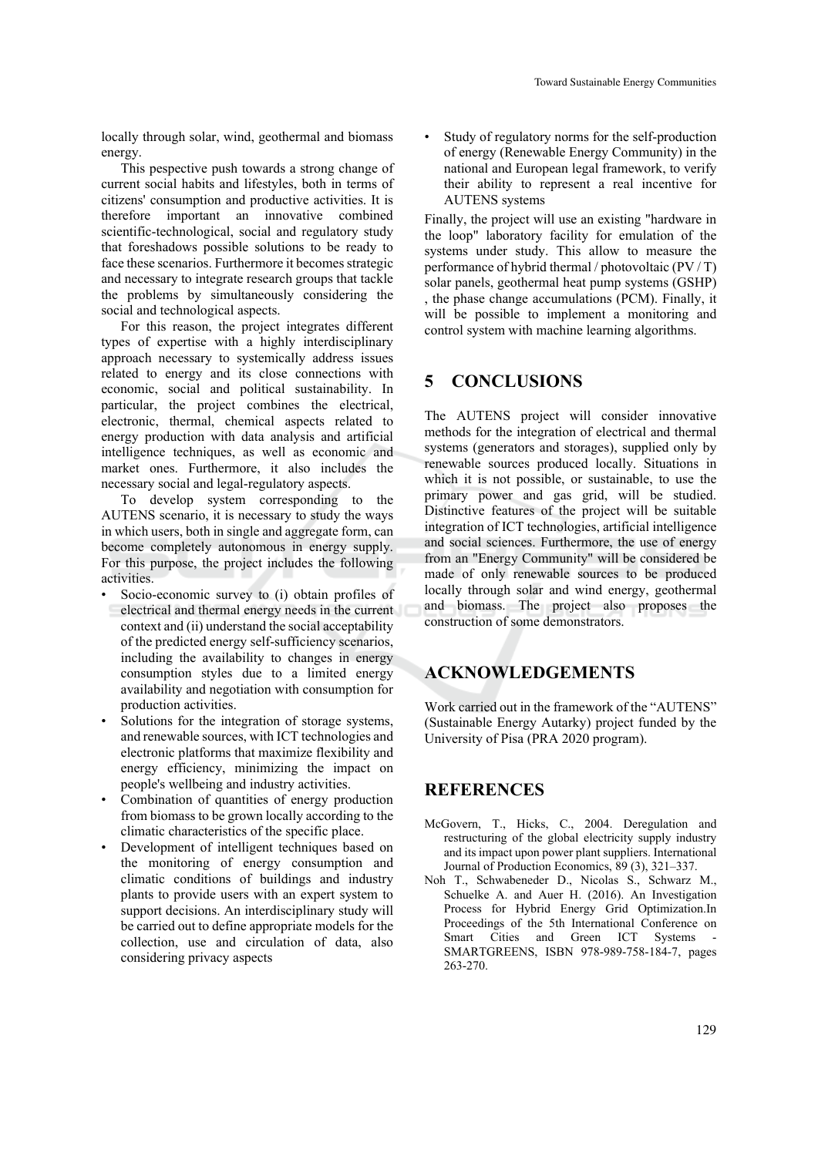locally through solar, wind, geothermal and biomass energy.

This pespective push towards a strong change of current social habits and lifestyles, both in terms of citizens' consumption and productive activities. It is therefore important an innovative combined scientific-technological, social and regulatory study that foreshadows possible solutions to be ready to face these scenarios. Furthermore it becomes strategic and necessary to integrate research groups that tackle the problems by simultaneously considering the social and technological aspects.

For this reason, the project integrates different types of expertise with a highly interdisciplinary approach necessary to systemically address issues related to energy and its close connections with economic, social and political sustainability. In particular, the project combines the electrical, electronic, thermal, chemical aspects related to energy production with data analysis and artificial intelligence techniques, as well as economic and market ones. Furthermore, it also includes the necessary social and legal-regulatory aspects.

To develop system corresponding to the AUTENS scenario, it is necessary to study the ways in which users, both in single and aggregate form, can become completely autonomous in energy supply. For this purpose, the project includes the following activities.

- Socio-economic survey to (i) obtain profiles of electrical and thermal energy needs in the current context and (ii) understand the social acceptability of the predicted energy self-sufficiency scenarios, including the availability to changes in energy consumption styles due to a limited energy availability and negotiation with consumption for production activities.
- Solutions for the integration of storage systems, and renewable sources, with ICT technologies and electronic platforms that maximize flexibility and energy efficiency, minimizing the impact on people's wellbeing and industry activities.
- Combination of quantities of energy production from biomass to be grown locally according to the climatic characteristics of the specific place.
- Development of intelligent techniques based on the monitoring of energy consumption and climatic conditions of buildings and industry plants to provide users with an expert system to support decisions. An interdisciplinary study will be carried out to define appropriate models for the collection, use and circulation of data, also considering privacy aspects

Study of regulatory norms for the self-production of energy (Renewable Energy Community) in the national and European legal framework, to verify their ability to represent a real incentive for AUTENS systems

Finally, the project will use an existing "hardware in the loop" laboratory facility for emulation of the systems under study. This allow to measure the performance of hybrid thermal / photovoltaic (PV / T) solar panels, geothermal heat pump systems (GSHP) , the phase change accumulations (PCM). Finally, it will be possible to implement a monitoring and control system with machine learning algorithms.

## **5 CONCLUSIONS**

The AUTENS project will consider innovative methods for the integration of electrical and thermal systems (generators and storages), supplied only by renewable sources produced locally. Situations in which it is not possible, or sustainable, to use the primary power and gas grid, will be studied. Distinctive features of the project will be suitable integration of ICT technologies, artificial intelligence and social sciences. Furthermore, the use of energy from an "Energy Community" will be considered be made of only renewable sources to be produced locally through solar and wind energy, geothermal and biomass. The project also proposes the construction of some demonstrators.

# **ACKNOWLEDGEMENTS**

Work carried out in the framework of the "AUTENS" (Sustainable Energy Autarky) project funded by the University of Pisa (PRA 2020 program).

## **REFERENCES**

- McGovern, T., Hicks, C., 2004. Deregulation and restructuring of the global electricity supply industry and its impact upon power plant suppliers. International Journal of Production Economics, 89 (3), 321–337.
- Noh T., Schwabeneder D., Nicolas S., Schwarz M., Schuelke A. and Auer H. (2016). An Investigation Process for Hybrid Energy Grid Optimization.In Proceedings of the 5th International Conference on Smart Cities and Green ICT Systems SMARTGREENS, ISBN 978-989-758-184-7, pages 263-270.